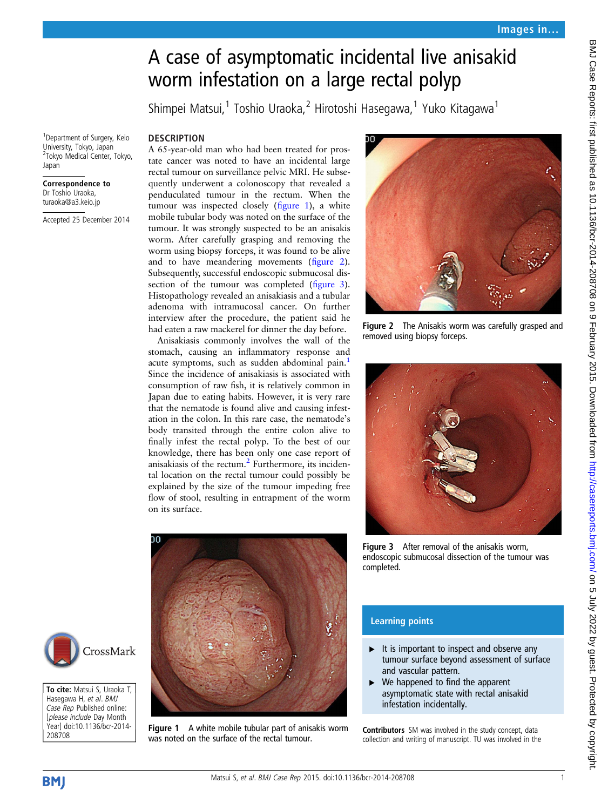# A case of asymptomatic incidental live anisakid worm infestation on a large rectal polyp

Shimpei Matsui,<sup>1</sup> Toshio Uraoka,<sup>2</sup> Hirotoshi Hasegawa,<sup>1</sup> Yuko Kitagawa<sup>1</sup>

**DESCRIPTION** 

1 Department of Surgery, Keio University, Tokyo, Japan 2 Tokyo Medical Center, Tokyo, Japan

#### Correspondence to Dr Toshio Uraoka, turaoka@a3.keio.jp

Accepted 25 December 2014

A 65-year-old man who had been treated for prostate cancer was noted to have an incidental large rectal tumour on surveillance pelvic MRI. He subsequently underwent a colonoscopy that revealed a penduculated tumour in the rectum. When the tumour was inspected closely (figure 1), a white mobile tubular body was noted on the surface of the tumour. It was strongly suspected to be an anisakis worm. After carefully grasping and removing the worm using biopsy forceps, it was found to be alive and to have meandering movements (figure 2). Subsequently, successful endoscopic submucosal dissection of the tumour was completed (figure 3). Histopathology revealed an anisakiasis and a tubular adenoma with intramucosal cancer. On further interview after the procedure, the patient said he had eaten a raw mackerel for dinner the day before.

Anisakiasis commonly involves the wall of the stomach, causing an inflammatory response and acute symptoms, such as sudden abdominal pain.<sup>[1](#page-1-0)</sup> Since the incidence of anisakiasis is associated with consumption of raw fish, it is relatively common in Japan due to eating habits. However, it is very rare that the nematode is found alive and causing infestation in the colon. In this rare case, the nematode's body transited through the entire colon alive to finally infest the rectal polyp. To the best of our knowledge, there has been only one case report of anisakiasis of the rectum[.2](#page-1-0) Furthermore, its incidental location on the rectal tumour could possibly be explained by the size of the tumour impeding free flow of stool, resulting in entrapment of the worm on its surface.



Figure 1 A white mobile tubular part of anisakis worm was noted on the surface of the rectal tumour.



Figure 2 The Anisakis worm was carefully grasped and removed using biopsy forceps.



Figure 3 After removal of the anisakis worm, endoscopic submucosal dissection of the tumour was completed.

## Learning points

- $\blacktriangleright$  It is important to inspect and observe any tumour surface beyond assessment of surface and vascular pattern.
- $\triangleright$  We happened to find the apparent asymptomatic state with rectal anisakid infestation incidentally.

Contributors SM was involved in the study concept, data collection and writing of manuscript. TU was involved in the



To cite: Matsui S, Uraoka T, Hasegawa H, et al. BMJ Case Rep Published online: [please include Day Month Year] doi:10.1136/bcr-2014- 208708